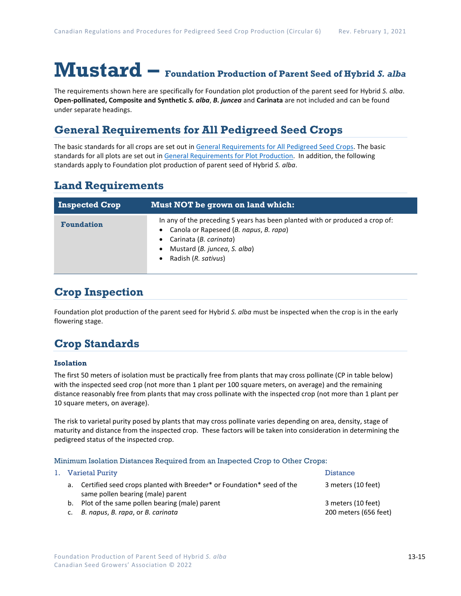# **Mustard – Foundation Production of Parent Seed of Hybrid** *S. alba*

The requirements shown here are specifically for Foundation plot production of the parent seed for Hybrid *S. alba*. **Open-pollinated, Composite and Synthetic** *S. alba*, *B. juncea* and **Carinata** are not included and can be found under separate headings.

## **General Requirements for All Pedigreed Seed Crops**

The basic standards for all crops are set out i[n General Requirements for](https://seedgrowers.ca/wp-content/uploads/2020/01/GENERAL-REQUIREMENTS-ALL-CROPS_EN.pdf) All Pedigreed Seed Crops. The basic standards for all plots are set out i[n General Requirements for Plot Production.](https://seedgrowers.ca/wp-content/uploads/2020/01/GENERAL-REQUIREMENTS-PLOTS_EN.pdf) In addition, the following standards apply to Foundation plot production of parent seed of Hybrid *S. alba*.

### **Land Requirements**

| <b>Inspected Crop</b> | Must NOT be grown on land which:                                                                                                                                                                        |  |  |
|-----------------------|---------------------------------------------------------------------------------------------------------------------------------------------------------------------------------------------------------|--|--|
| <b>Foundation</b>     | In any of the preceding 5 years has been planted with or produced a crop of:<br>Canola or Rapeseed (B. napus, B. rapa)<br>Carinata (B. carinata)<br>Mustard (B. juncea, S. alba)<br>Radish (R. sativus) |  |  |

### **Crop Inspection**

Foundation plot production of the parent seed for Hybrid *S. alba* must be inspected when the crop is in the early flowering stage.

### **Crop Standards**

### **Isolation**

The first 50 meters of isolation must be practically free from plants that may cross pollinate (CP in table below) with the inspected seed crop (not more than 1 plant per 100 square meters, on average) and the remaining distance reasonably free from plants that may cross pollinate with the inspected crop (not more than 1 plant per 10 square meters, on average).

The risk to varietal purity posed by plants that may cross pollinate varies depending on area, density, stage of maturity and distance from the inspected crop. These factors will be taken into consideration in determining the pedigreed status of the inspected crop.

### Minimum Isolation Distances Required from an Inspected Crop to Other Crops:

|  | 1. Varietal Purity                                                                                            | <b>Distance</b>       |  |
|--|---------------------------------------------------------------------------------------------------------------|-----------------------|--|
|  | a. Certified seed crops planted with Breeder* or Foundation* seed of the<br>same pollen bearing (male) parent | 3 meters (10 feet)    |  |
|  | b. Plot of the same pollen bearing (male) parent                                                              | 3 meters (10 feet)    |  |
|  | c. B. napus, B. rapa, or B. carinata                                                                          | 200 meters (656 feet) |  |